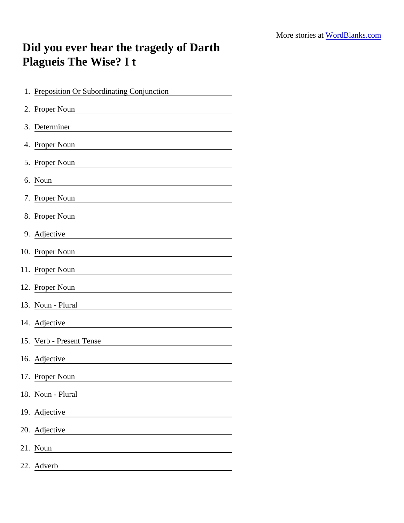## Did you ever hear the tragedy of Darth Plagueis The Wise? I t

| 1. Preposition Or Subordinating Conjunction |
|---------------------------------------------|
| 2. Proper Noun                              |
| 3. Determiner                               |
| 4. Proper Noun                              |
| 5. Proper Noun                              |
| 6. Noun                                     |
| 7. Proper Noun                              |
| 8. Proper Noun                              |
| 9. Adjective                                |
| 10. Proper Noun                             |
| 11. Proper Noun                             |
| 12. Proper Noun                             |
| 13. Noun - Plural                           |
| 14. Adjective                               |
| 15. Verb - Present Tense                    |
| 16. Adjective                               |
| 17. Proper Noun                             |
| 18. Noun - Plural                           |
| 19. Adjective                               |
| 20. Adjective                               |
| 21. Noun                                    |
| 22. Adverb                                  |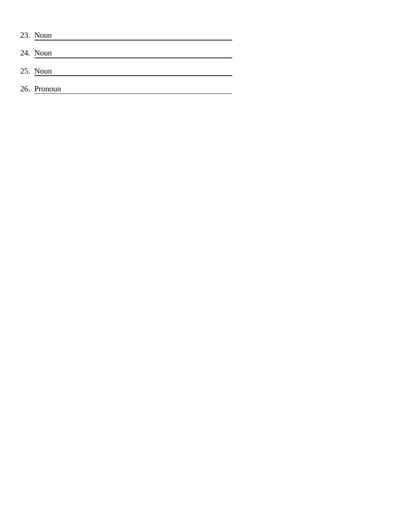| 23. Noun    |
|-------------|
| 24. Noun    |
| 25. Noun    |
| 26. Pronoun |